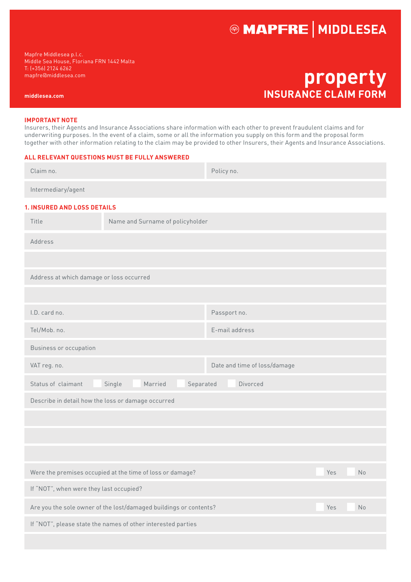# **@ MAPFRE | MIDDLESEA**

Mapfre Middlesea p.l.c. Middle Sea House, Floriana FRN 1442 Malta T: (+356) 2124 6262 mapfre@middlesea.com

**middlesea.com**

**property INSURANCE CLAIM FORM**

#### **IMPORTANT NOTE**

Insurers, their Agents and Insurance Associations share information with each other to prevent fraudulent claims and for underwriting purposes. In the event of a claim, some or all the information you supply on this form and the proposal form together with other information relating to the claim may be provided to other Insurers, their Agents and Insurance Associations.

#### **ALL RELEVANT QUESTIONS MUST BE FULLY ANSWERED**

| Claim no.                                                                      |                                  | Policy no.                   |  |  |  |  |  |
|--------------------------------------------------------------------------------|----------------------------------|------------------------------|--|--|--|--|--|
| Intermediary/agent                                                             |                                  |                              |  |  |  |  |  |
| <b>1. INSURED AND LOSS DETAILS</b>                                             |                                  |                              |  |  |  |  |  |
| Title                                                                          | Name and Surname of policyholder |                              |  |  |  |  |  |
| Address                                                                        |                                  |                              |  |  |  |  |  |
|                                                                                |                                  |                              |  |  |  |  |  |
| Address at which damage or loss occurred                                       |                                  |                              |  |  |  |  |  |
|                                                                                |                                  |                              |  |  |  |  |  |
| I.D. card no.                                                                  |                                  | Passport no.                 |  |  |  |  |  |
| Tel/Mob. no.                                                                   |                                  | E-mail address               |  |  |  |  |  |
| Business or occupation                                                         |                                  |                              |  |  |  |  |  |
| VAT reg. no.                                                                   |                                  | Date and time of loss/damage |  |  |  |  |  |
| Married<br>Divorced<br>Status of claimant<br>Single<br>Separated               |                                  |                              |  |  |  |  |  |
| Describe in detail how the loss or damage occurred                             |                                  |                              |  |  |  |  |  |
|                                                                                |                                  |                              |  |  |  |  |  |
|                                                                                |                                  |                              |  |  |  |  |  |
|                                                                                |                                  |                              |  |  |  |  |  |
| Were the premises occupied at the time of loss or damage?                      | Yes<br>No                        |                              |  |  |  |  |  |
| If "NOT", when were they last occupied?                                        |                                  |                              |  |  |  |  |  |
| Are you the sole owner of the lost/damaged buildings or contents?<br>Yes<br>No |                                  |                              |  |  |  |  |  |
| If "NOT", please state the names of other interested parties                   |                                  |                              |  |  |  |  |  |